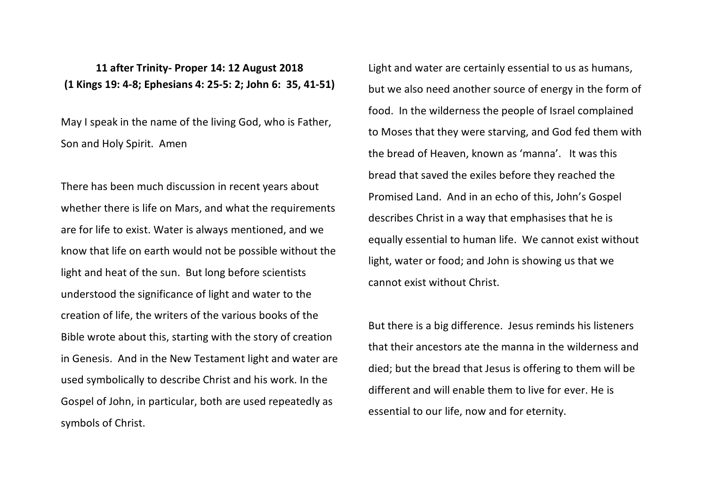**11 after Trinity- Proper 14: 12 August 2018 (1 Kings 19: 4-8; Ephesians 4: 25-5: 2; John 6: 35, 41-51)**

May I speak in the name of the living God, who is Father, Son and Holy Spirit. Amen

There has been much discussion in recent years about whether there is life on Mars, and what the requirements are for life to exist. Water is always mentioned, and we know that life on earth would not be possible without the light and heat of the sun. But long before scientists understood the significance of light and water to the creation of life, the writers of the various books of the Bible wrote about this, starting with the story of creation in Genesis. And in the New Testament light and water are used symbolically to describe Christ and his work. In the Gospel of John, in particular, both are used repeatedly as symbols of Christ.

Light and water are certainly essential to us as humans, but we also need another source of energy in the form of food. In the wilderness the people of Israel complained to Moses that they were starving, and God fed them with the bread of Heaven, known as 'manna'. It was this bread that saved the exiles before they reached the Promised Land. And in an echo of this, John's Gospel describes Christ in a way that emphasises that he is equally essential to human life. We cannot exist without light, water or food; and John is showing us that we cannot exist without Christ.

But there is a big difference. Jesus reminds his listeners that their ancestors ate the manna in the wilderness and died; but the bread that Jesus is offering to them will be different and will enable them to live for ever. He is essential to our life, now and for eternity.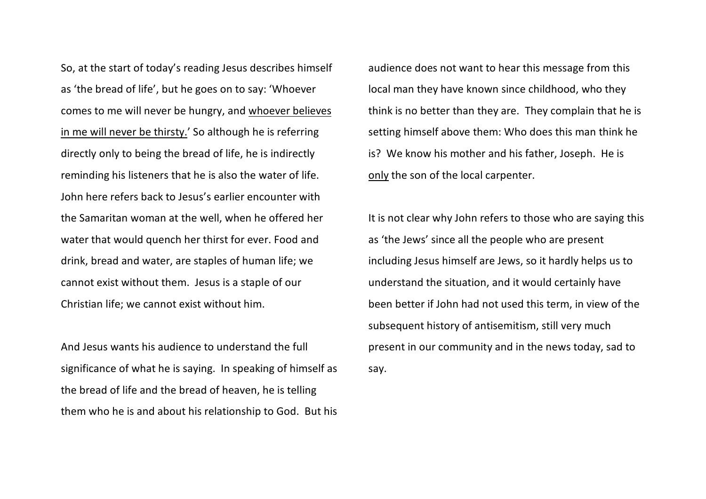So, at the start of today's reading Jesus describes himself as 'the bread of life', but he goes on to say: 'Whoever comes to me will never be hungry, and whoever believes in me will never be thirsty.' So although he is referring directly only to being the bread of life, he is indirectly reminding his listeners that he is also the water of life. John here refers back to Jesus's earlier encounter with the Samaritan woman at the well, when he offered her water that would quench her thirst for ever. Food and drink, bread and water, are staples of human life; we cannot exist without them. Jesus is a staple of our Christian life; we cannot exist without him.

And Jesus wants his audience to understand the full significance of what he is saying. In speaking of himself as the bread of life and the bread of heaven, he is telling them who he is and about his relationship to God. But his audience does not want to hear this message from this local man they have known since childhood, who they think is no better than they are. They complain that he is setting himself above them: Who does this man think he is? We know his mother and his father, Joseph. He is only the son of the local carpenter.

It is not clear why John refers to those who are saying this as 'the Jews' since all the people who are present including Jesus himself are Jews, so it hardly helps us to understand the situation, and it would certainly have been better if John had not used this term, in view of the subsequent history of antisemitism, still very much present in our community and in the news today, sad to say.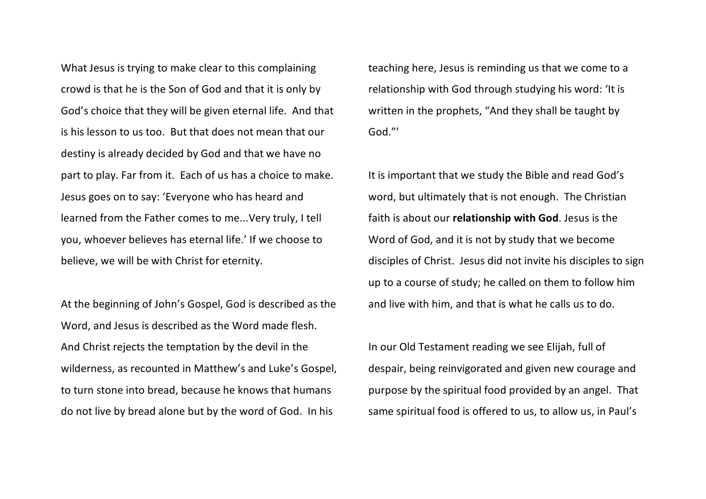What Jesus is trying to make clear to this complaining crowd is that he is the Son of God and that it is only by God's choice that they will be given eternal life. And that is his lesson to us too. But that does not mean that our destiny is already decided by God and that we have no part to play. Far from it. Each of us has a choice to make. Jesus goes on to say: 'Everyone who has heard and learned from the Father comes to me...Very truly, I tell you, whoever believes has eternal life.' If we choose to believe, we will be with Christ for eternity.

At the beginning of John's Gospel, God is described as the Word, and Jesus is described as the Word made flesh. And Christ rejects the temptation by the devil in the wilderness, as recounted in Matthew's and Luke's Gospel, to turn stone into bread, because he knows that humans do not live by bread alone but by the word of God. In his

teaching here, Jesus is reminding us that we come to a relationship with God through studying his word: 'It is written in the prophets, "And they shall be taught by God."'

It is important that we study the Bible and read God's word, but ultimately that is not enough. The Christian faith is about our **relationship with God**. Jesus is the Word of God, and it is not by study that we become disciples of Christ. Jesus did not invite his disciples to sign up to a course of study; he called on them to follow him and live with him, and that is what he calls us to do.

In our Old Testament reading we see Elijah, full of despair, being reinvigorated and given new courage and purpose by the spiritual food provided by an angel. That same spiritual food is offered to us, to allow us, in Paul's